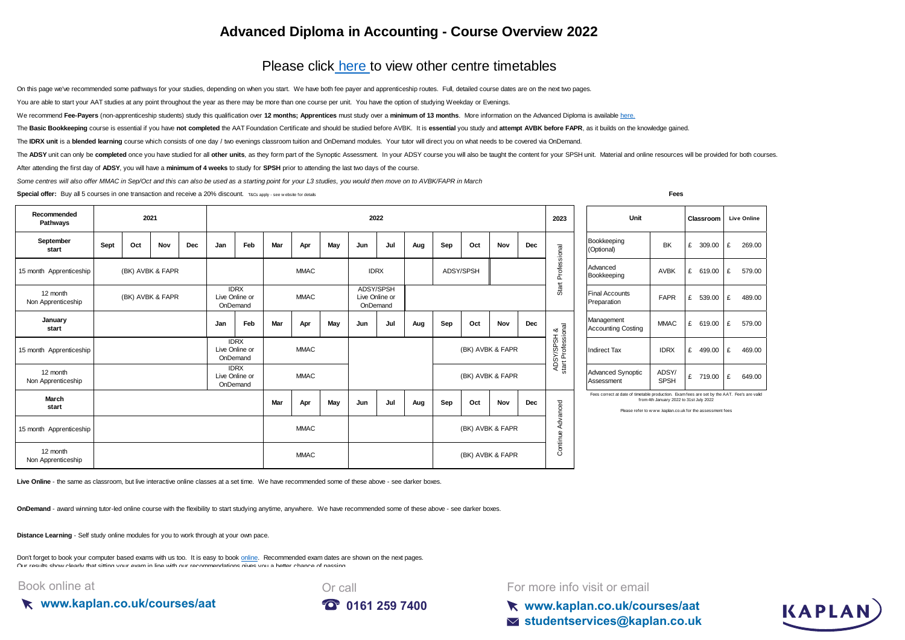## **Advanced Diploma in Accounting - Course Overview 2022**

## Please click here to view other centre timetables

On this page we've recommended some pathways for your studies, depending on when you start. We have both fee payer and apprenticeship routes. Full, detailed course dates are on the next two pages.

You are able to start your AAT studies at any point throughout the year as there may be more than one course per unit. You have the option of studying Weekday or Evenings.

[We recommend](https://kaplan.co.uk/courses/aat) [Fee-Payers](https://kaplan.co.uk/courses/aat) [\(non-apprenticeship students\) study this qualification over](https://kaplan.co.uk/courses/aat) 12 months; Apprentices must study over a minimum of 13 months. More information on the Advanced Diploma is available here.

The Basic Bookkeeping course is essential if you have not completed the AAT Foundation Certificate and should be studied before AVBK. It is essential you study and attempt AVBK before FAPR, as it builds on the knowledge ga

The IDRX unit is a blended learning course which consists of one day / two evenings classroom tuition and OnDemand modules. Your tutor will direct you on what needs to be covered via OnDemand.

The ADSY unit can only be completed once you have studied for all other units, as they form part of the Synoptic Assessment. In your ADSY course you will also be taught the content for your SPSH unit. Material and online r

After attending the first day of **ADSY**, you will have a **minimum of 4 weeks** to study for **SPSH** prior to attending the last two days of the course.

*Some centres will also offer MMAC in Sep/Oct and this can also be used as a starting point for your L3 studies, you would then move on to AVBK/FAPR in March*

**Special offer:** Buy all 5 courses in one transaction and receive a 20% discount. T&Cs apply - see w ebsite for details **Fees** 

| Recommended<br>Pathways        | 2021             |     |            |                                           | 2022                                      |             |             |                                         |             |     |     |                  |     | 2023 | Unit                              |                                                                | Classroom   | <b>Live Online</b>                                                                                                                                                                                |             |             |             |  |
|--------------------------------|------------------|-----|------------|-------------------------------------------|-------------------------------------------|-------------|-------------|-----------------------------------------|-------------|-----|-----|------------------|-----|------|-----------------------------------|----------------------------------------------------------------|-------------|---------------------------------------------------------------------------------------------------------------------------------------------------------------------------------------------------|-------------|-------------|-------------|--|
| September<br>start             | Sept             | Oct | <b>Nov</b> | Dec                                       | Jan                                       | Feb         | Mar         | Apr                                     | May         | Jun | Jul | Aug              | Sep | Oct  | Nov                               | Dec                                                            |             | Bookkeeping<br>(Optional)                                                                                                                                                                         | BK          | £<br>309.00 | £<br>269.00 |  |
| 15 month Apprenticeship        | (BK) AVBK & FAPR |     |            |                                           |                                           | <b>MMAC</b> |             |                                         | <b>IDRX</b> |     |     | ADSY/SPSH        |     |      | Professional                      | Advanced<br>Bookkeeping                                        | <b>AVBK</b> | 619.00<br>£                                                                                                                                                                                       | £<br>579.00 |             |             |  |
| 12 month<br>Non Apprenticeship | (BK) AVBK & FAPR |     |            | <b>IDRX</b><br>Live Online or<br>OnDemand |                                           | <b>MMAC</b> |             | ADSY/SPSH<br>Live Online or<br>OnDemand |             |     |     |                  |     |      | Start                             | <b>Final Accounts</b><br>Preparation                           | <b>FAPR</b> | £<br>539.00                                                                                                                                                                                       | £<br>489.00 |             |             |  |
| January<br>start               |                  |     |            |                                           | Jan                                       | Feb         | Mar         | Apr                                     | May         | Jun | Jul | Aug              | Sep | Oct  | Nov                               | Dec                                                            |             | Management<br><b>Accounting Costing</b>                                                                                                                                                           | <b>MMAC</b> | 619.00<br>£ | £<br>579.00 |  |
| 15 month Apprenticeship        |                  |     |            |                                           | <b>IDRX</b><br>Live Online or<br>OnDemand |             | <b>MMAC</b> |                                         |             |     |     | (BK) AVBK & FAPR |     |      | ADSY/SPSH &<br>start Professional | <b>Indirect Tax</b>                                            | <b>IDRX</b> | 499.00<br>£                                                                                                                                                                                       | £<br>469.00 |             |             |  |
| 12 month<br>Non Apprenticeship |                  |     |            | <b>IDRX</b><br>Live Online or<br>OnDemand |                                           | <b>MMAC</b> |             |                                         |             |     |     | (BK) AVBK & FAPR |     |      |                                   | ADSY/<br><b>Advanced Synoptic</b><br><b>SPSH</b><br>Assessment |             | £<br>719.00                                                                                                                                                                                       | £<br>649.00 |             |             |  |
| March<br>start                 |                  |     |            |                                           |                                           |             | Mar         | Apr                                     | May         | Jun | Jul | Aug              | Sep | Oct  | Nov                               | Dec                                                            | Advanced    | Fees correct at date of timetable production. Examfees are set by the AAT. Fee's are valid<br>from 4th January 2022 to 31st July 2022<br>Please refer to www.kaplan.co.uk for the assessment fees |             |             |             |  |
| 15 month Apprenticeship        |                  |     |            |                                           |                                           |             |             | <b>MMAC</b>                             |             |     |     |                  |     |      | (BK) AVBK & FAPR                  |                                                                |             |                                                                                                                                                                                                   |             |             |             |  |
| 12 month<br>Non Apprenticeship |                  |     |            |                                           |                                           |             |             | <b>MMAC</b>                             |             |     |     |                  |     |      | (BK) AVBK & FAPR                  |                                                                | Continue.   |                                                                                                                                                                                                   |             |             |             |  |

Live Online - the same as classroom, but live interactive online classes at a set time. We have recommended some of these above - see darker boxes.

**OnDemand** - award winning tutor-led online course with the flexibility to start studying anytime, anywhere. We have recommended some of these above - see darker boxes.

**Distance Learning** - Self study online modules for you to work through at your own pace.

[Don't forget to book your computer based exams with us too. It is easy to book online.](https://kaplan.co.uk/exams) Recommended exam dates are shown on the next pages. [Our results show clearly tha](https://kaplan.co.uk/exams)t sitting your exam in line with our recommendations gives you a better chance of passing.

Book online at

**www.kaplan.co.uk/courses/aat**



For more info visit or email

**www.kaplan.co.uk/courses/aat studentservices@kaplan.co.uk**